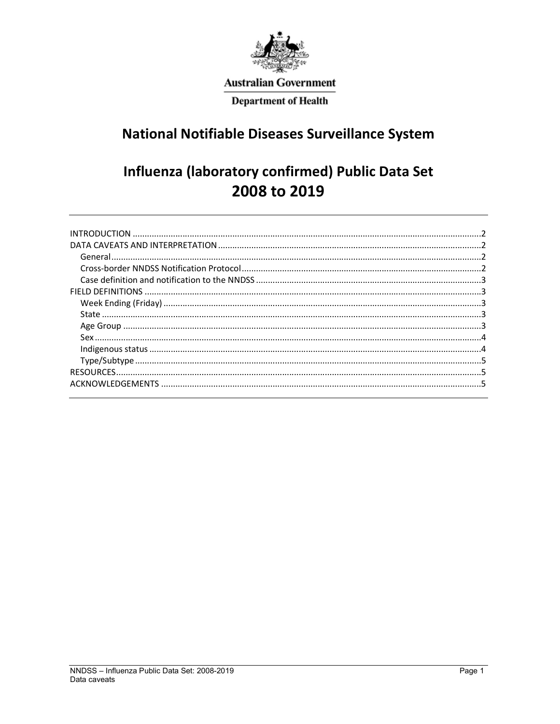

# **Australian Government**

**Department of Health** 

# **National Notifiable Diseases Surveillance System**

# Influenza (laboratory confirmed) Public Data Set 2008 to 2019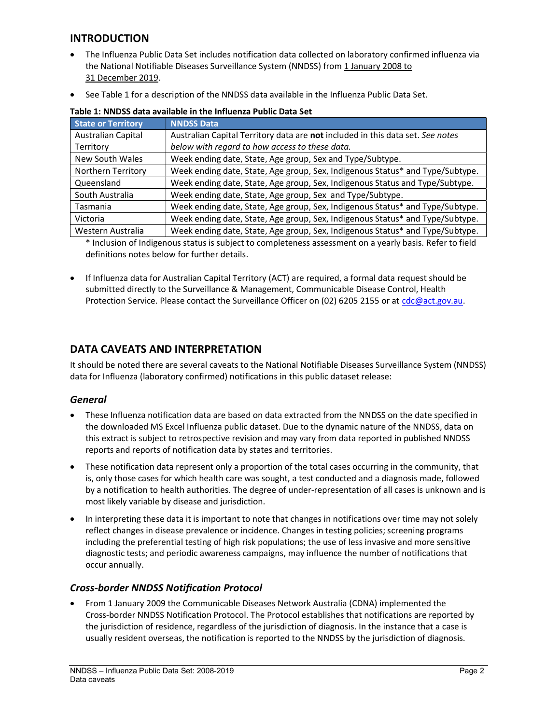## INTRODUCTION

- The Influenza Public Data Set includes notification data collected on laboratory confirmed influenza via the National Notifiable Diseases Surveillance System (NNDSS) from 1 January 2008 to 31 December 2019.
- See Table 1 for a description of the NNDSS data available in the Influenza Public Data Set.

| <b>State or Territory</b> | <b>NNDSS Data</b>                                                              |
|---------------------------|--------------------------------------------------------------------------------|
| Australian Capital        | Australian Capital Territory data are not included in this data set. See notes |
| Territory                 | below with regard to how access to these data.                                 |
| New South Wales           | Week ending date, State, Age group, Sex and Type/Subtype.                      |
| Northern Territory        | Week ending date, State, Age group, Sex, Indigenous Status* and Type/Subtype.  |
| Queensland                | Week ending date, State, Age group, Sex, Indigenous Status and Type/Subtype.   |
| South Australia           | Week ending date, State, Age group, Sex and Type/Subtype.                      |
| Tasmania                  | Week ending date, State, Age group, Sex, Indigenous Status* and Type/Subtype.  |
| Victoria                  | Week ending date, State, Age group, Sex, Indigenous Status* and Type/Subtype.  |
| Western Australia         | Week ending date, State, Age group, Sex, Indigenous Status* and Type/Subtype.  |

| Table 1: NNDSS data available in the Influenza Public Data Set |  |  |  |  |  |  |  |  |  |
|----------------------------------------------------------------|--|--|--|--|--|--|--|--|--|
|----------------------------------------------------------------|--|--|--|--|--|--|--|--|--|

\* Inclusion of Indigenous status is subject to completeness assessment on a yearly basis. Refer to field definitions notes below for further details.

 If Influenza data for Australian Capital Territory (ACT) are required, a formal data request should be submitted directly to the Surveillance & Management, Communicable Disease Control, Health Protection Service. Please contact the Surveillance Officer on (02) 6205 2155 or at cdc@act.gov.au.

## DATA CAVEATS AND INTERPRETATION

It should be noted there are several caveats to the National Notifiable Diseases Surveillance System (NNDSS) data for Influenza (laboratory confirmed) notifications in this public dataset release:

## **General**

- These Influenza notification data are based on data extracted from the NNDSS on the date specified in the downloaded MS Excel Influenza public dataset. Due to the dynamic nature of the NNDSS, data on this extract is subject to retrospective revision and may vary from data reported in published NNDSS reports and reports of notification data by states and territories.
- These notification data represent only a proportion of the total cases occurring in the community, that is, only those cases for which health care was sought, a test conducted and a diagnosis made, followed by a notification to health authorities. The degree of under-representation of all cases is unknown and is most likely variable by disease and jurisdiction.
- In interpreting these data it is important to note that changes in notifications over time may not solely reflect changes in disease prevalence or incidence. Changes in testing policies; screening programs including the preferential testing of high risk populations; the use of less invasive and more sensitive diagnostic tests; and periodic awareness campaigns, may influence the number of notifications that occur annually.

## Cross-border NNDSS Notification Protocol

 From 1 January 2009 the Communicable Diseases Network Australia (CDNA) implemented the Cross-border NNDSS Notification Protocol. The Protocol establishes that notifications are reported by the jurisdiction of residence, regardless of the jurisdiction of diagnosis. In the instance that a case is usually resident overseas, the notification is reported to the NNDSS by the jurisdiction of diagnosis.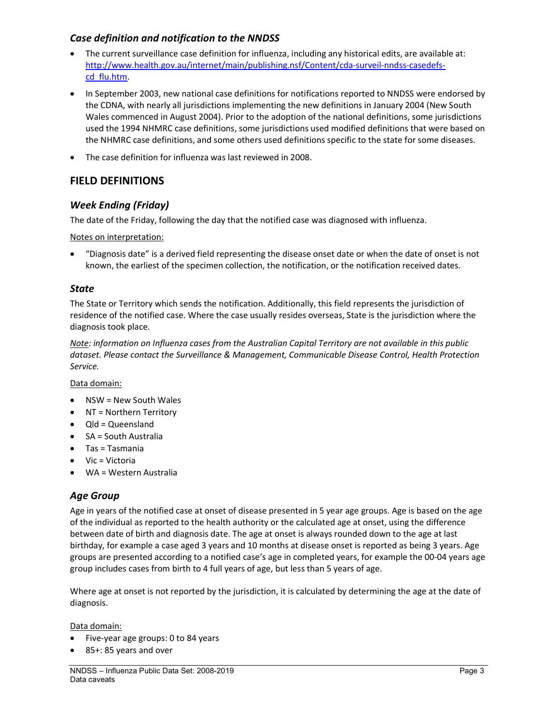## Case definition and notification to the NNDSS

- The current surveillance case definition for influenza, including any historical edits, are available at: http://www.health.gov.au/internet/main/publishing.nsf/Content/cda-surveil-nndss-casedefscd\_flu.htm.
- In September 2003, new national case definitions for notifications reported to NNDSS were endorsed by the CDNA, with nearly all jurisdictions implementing the new definitions in January 2004 (New South Wales commenced in August 2004). Prior to the adoption of the national definitions, some jurisdictions used the 1994 NHMRC case definitions, some jurisdictions used modified definitions that were based on the NHMRC case definitions, and some others used definitions specific to the state for some diseases.
- The case definition for influenza was last reviewed in 2008.

## FIELD DEFINITIONS

### Week Ending (Friday)

The date of the Friday, following the day that the notified case was diagnosed with influenza.

Notes on interpretation:

 "Diagnosis date" is a derived field representing the disease onset date or when the date of onset is not known, the earliest of the specimen collection, the notification, or the notification received dates.

#### **State**

The State or Territory which sends the notification. Additionally, this field represents the jurisdiction of residence of the notified case. Where the case usually resides overseas, State is the jurisdiction where the diagnosis took place.

Note: information on Influenza cases from the Australian Capital Territory are not available in this public dataset. Please contact the Surveillance & Management, Communicable Disease Control, Health Protection Service.

Data domain:

- $\bullet$  NSW = New South Wales
- NT = Northern Territory
- Qld = Queensland
- SA = South Australia
- Tas = Tasmania
- Vic = Victoria
- WA = Western Australia

#### Age Group

Age in years of the notified case at onset of disease presented in 5 year age groups. Age is based on the age of the individual as reported to the health authority or the calculated age at onset, using the difference between date of birth and diagnosis date. The age at onset is always rounded down to the age at last birthday, for example a case aged 3 years and 10 months at disease onset is reported as being 3 years. Age groups are presented according to a notified case's age in completed years, for example the 00-04 years age group includes cases from birth to 4 full years of age, but less than 5 years of age.

Where age at onset is not reported by the jurisdiction, it is calculated by determining the age at the date of diagnosis.

Data domain:

- Five-year age groups: 0 to 84 years
- 85+: 85 years and over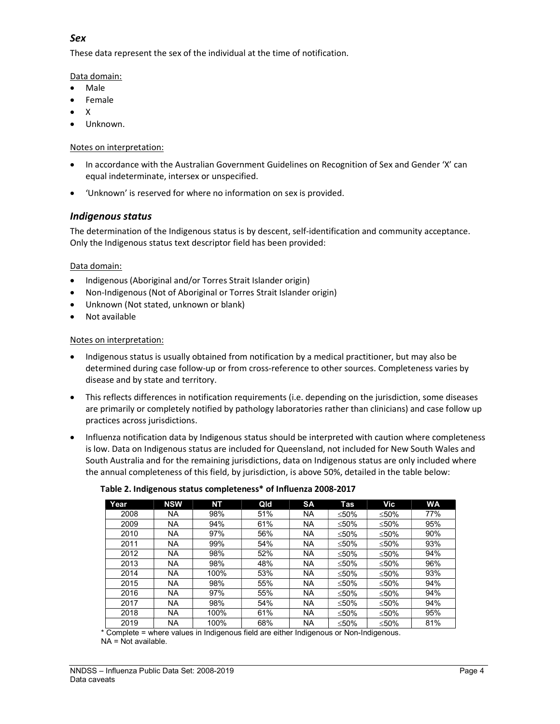## Sex

These data represent the sex of the individual at the time of notification.

Data domain:

- Male
- Female
- X
- Unknown.

#### Notes on interpretation:

- In accordance with the Australian Government Guidelines on Recognition of Sex and Gender 'X' can equal indeterminate, intersex or unspecified.
- 'Unknown' is reserved for where no information on sex is provided.

## Indigenous status

The determination of the Indigenous status is by descent, self-identification and community acceptance. Only the Indigenous status text descriptor field has been provided:

#### Data domain:

- Indigenous (Aboriginal and/or Torres Strait Islander origin)
- Non-Indigenous (Not of Aboriginal or Torres Strait Islander origin)
- Unknown (Not stated, unknown or blank)
- Not available

### Notes on interpretation:

- Indigenous status is usually obtained from notification by a medical practitioner, but may also be determined during case follow-up or from cross-reference to other sources. Completeness varies by disease and by state and territory.
- This reflects differences in notification requirements (i.e. depending on the jurisdiction, some diseases are primarily or completely notified by pathology laboratories rather than clinicians) and case follow up practices across jurisdictions.
- Influenza notification data by Indigenous status should be interpreted with caution where completeness is low. Data on Indigenous status are included for Queensland, not included for New South Wales and South Australia and for the remaining jurisdictions, data on Indigenous status are only included where the annual completeness of this field, by jurisdiction, is above 50%, detailed in the table below:

| Year | <b>NSW</b> | NΤ   | Qld | <b>SA</b> | Tas   | Vic   | <b>WA</b> |
|------|------------|------|-----|-----------|-------|-------|-----------|
| 2008 | NA         | 98%  | 51% | <b>NA</b> | ≤50%  | ≤50%  | 77%       |
| 2009 | NA.        | 94%  | 61% | <b>NA</b> | < 50% | < 50% | 95%       |
| 2010 | NA.        | 97%  | 56% | <b>NA</b> | ≤50%  | ≤50%  | 90%       |
| 2011 | NA.        | 99%  | 54% | <b>NA</b> | ≤50%  | ≤50%  | 93%       |
| 2012 | NA         | 98%  | 52% | <b>NA</b> | ≤50%  | ≤50%  | 94%       |
| 2013 | NA         | 98%  | 48% | <b>NA</b> | ≤50%  | ≤50%  | 96%       |
| 2014 | NA.        | 100% | 53% | <b>NA</b> | ≤50%  | ≤50%  | 93%       |
| 2015 | NA         | 98%  | 55% | <b>NA</b> | < 50% | ≤50%  | 94%       |
| 2016 | NA.        | 97%  | 55% | <b>NA</b> | < 50% | < 50% | 94%       |
| 2017 | NA         | 98%  | 54% | <b>NA</b> | ≤50%  | ≤50%  | 94%       |
| 2018 | NA         | 100% | 61% | <b>NA</b> | ≤50%  | ≤50%  | 95%       |
| 2019 | NA         | 100% | 68% | <b>NA</b> | ≤50%  | ≤50%  | 81%       |

#### Table 2. Indigenous status completeness\* of Influenza 2008-2017

\* Complete = where values in Indigenous field are either Indigenous or Non-Indigenous. NA = Not available.